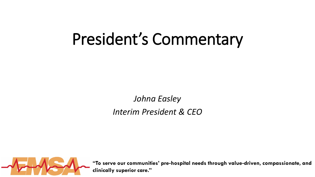# President's Commentary

*Johna Easley Interim President & CEO*

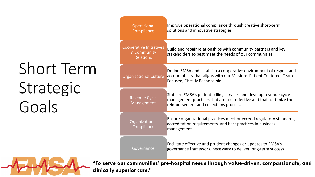# Short Term Strategic Goals

| Improve operational compliance through creative short-term<br>solutions and innovative strategies.                                                                                                                         |  |
|----------------------------------------------------------------------------------------------------------------------------------------------------------------------------------------------------------------------------|--|
| Build and repair relationships with community partners and key<br>stakeholders to best meet the needs of our communities.                                                                                                  |  |
| Define EMSA and establish a cooperative environment of respect and<br>accountability that aligns with our Mission: Patient Centered, Team<br>Focused, Fiscally Responsible.                                                |  |
| Stabilize EMSA's patient billing services and develop revenue cycle<br>management practices that are cost effective and that optimize the<br>reimbursement and collections process.                                        |  |
| Ensure organizational practices meet or exceed regulatory standards,<br>accreditation requirements, and best practices in business<br>management.                                                                          |  |
| Facilitate effective and prudent changes or updates to EMSA's<br>governance framework, necessary to deliver long-term success.                                                                                             |  |
| <b>Operational</b><br>Compliance<br><b>Cooperative Initiatives</b><br>& Community<br><b>Relations</b><br><b>Organizational Culture</b><br><b>Revenue Cycle</b><br>Management<br>Organizational<br>Compliance<br>Governance |  |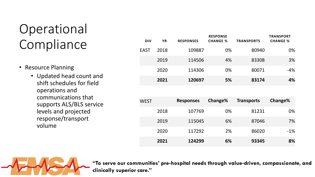## **Operational** Compliance

- Resource Planning
	- Updated head count and shift schedules for field operations and communications that supports ALS/BLS service levels and projected response/transport volume

| <b>DIV</b>  | <b>YR</b> | <b>RESPONSES</b> | <b>RESPONSE</b><br><b>CHANGE %</b> | <b>TRANSPORTS</b> | <b>TRANSPORT</b><br><b>CHANGE %</b> |
|-------------|-----------|------------------|------------------------------------|-------------------|-------------------------------------|
| <b>EAST</b> | 2018      | 109887           | 0%                                 | 80940             | 0%                                  |
|             | 2019      | 114506           | 4%                                 | 83308             | 3%                                  |
|             | 2020      | 114306           | 0%                                 | 80071             | $-4%$                               |
|             | 2021      | 120697           | 5%                                 | 83174             | 4%                                  |
|             |           |                  |                                    |                   |                                     |
| <b>WEST</b> |           | <b>Responses</b> | Change%                            | <b>Transports</b> | Change%                             |
|             | 2018      | 107769           | 0%                                 | 81231             | 0%                                  |
|             | 2019      | 115045           | 6%                                 | 87046             | 7%                                  |
|             | 2020      | 117292           | 2%                                 | 86020             | $-1%$                               |
|             | 2021      | 124299           | 6%                                 | 93345             | 8%                                  |

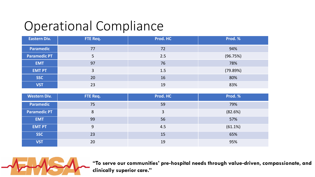### Operational Compliance

| <b>Eastern Div.</b> | FTE Req. | Prod. HC | Prod. %  |
|---------------------|----------|----------|----------|
| <b>Paramedic</b>    | 77       | 72       | 94%      |
| <b>Paramedic PT</b> | 5        | 2.5      | (96.75%) |
| <b>EMT</b>          | 97       | 76       | 78%      |
| <b>EMT PT</b>       | 3        | 1.5      | (79.89%) |
| <b>SSC</b>          | 20       | 16       | 80%      |
| <b>VST</b>          | 23       | 19       | 83%      |

| <b>Western Div.</b> | FTE Req. | Prod. HC | Prod. % |
|---------------------|----------|----------|---------|
| <b>Paramedic</b>    | 75       | 59       | 79%     |
| <b>Paramedic PT</b> | 8        | 3        | (82.6%) |
| <b>EMT</b>          | 99       | 56       | 57%     |
| <b>EMT PT</b>       | 9        | 4.5      | (61.1%) |
| <b>SSC</b>          | 23       | 15       | 65%     |
| <b>VST</b>          | 20       | 19       | 95%     |

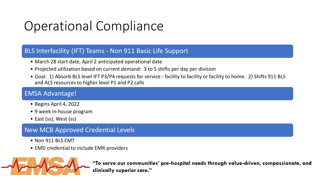## Operational Compliance

#### BLS Interfacility (IFT) Teams - Non 911 Basic Life Support

- March 28 start date, April 2 anticipated operational date
- Projected utilization based on current demand: 3 to 5 shifts per day per division
- Goal: 1) Absorb BLS level IFT P3/P4 requests for service facility to facility or facility to home. 2) Shifts 911 BLS and ALS resources to higher level P1 and P2 calls

#### EMSA Advantage!

- Begins April 4, 2022
- 9 week in-house program
- East (ss), West (ss)

#### New MCB Approved Credential Levels

- Non 911 BLS FMT
- EMD credential to include EMR providers

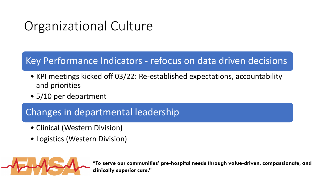## Organizational Culture

#### Key Performance Indicators - refocus on data driven decisions

- KPI meetings kicked off 03/22: Re-established expectations, accountability and priorities
- 5/10 per department

#### Changes in departmental leadership

- Clinical (Western Division)
- Logistics (Western Division)

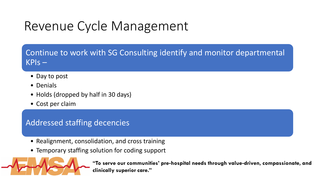### Revenue Cycle Management

Continue to work with SG Consulting identify and monitor departmental KPIs –

- Day to post
- Denials
- Holds (dropped by half in 30 days)
- Cost per claim

#### Addressed staffing decencies

- Realignment, consolidation, and cross training
- Temporary staffing solution for coding support